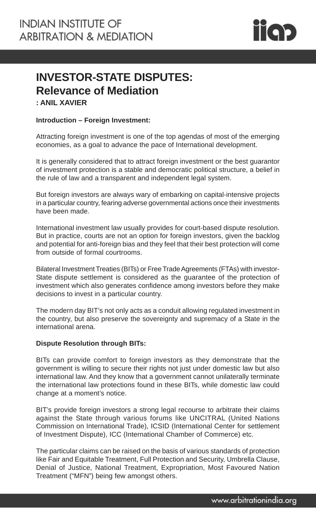

# **INVESTOR-STATE DISPUTES: Relevance of Mediation**

**: ANIL XAVIER**

# **Introduction – Foreign Investment:**

Attracting foreign investment is one of the top agendas of most of the emerging economies, as a goal to advance the pace of International development.

It is generally considered that to attract foreign investment or the best guarantor of investment protection is a stable and democratic political structure, a belief in the rule of law and a transparent and independent legal system.

But foreign investors are always wary of embarking on capital-intensive projects in a particular country, fearing adverse governmental actions once their investments have been made.

International investment law usually provides for court-based dispute resolution. But in practice, courts are not an option for foreign investors, given the backlog and potential for anti-foreign bias and they feel that their best protection will come from outside of formal courtrooms.

Bilateral Investment Treaties (BITs) or Free Trade Agreements (FTAs) with investor-State dispute settlement is considered as the guarantee of the protection of investment which also generates confidence among investors before they make decisions to invest in a particular country.

The modern day BIT's not only acts as a conduit allowing regulated investment in the country, but also preserve the sovereignty and supremacy of a State in the international arena.

#### **Dispute Resolution through BITs:**

BITs can provide comfort to foreign investors as they demonstrate that the government is willing to secure their rights not just under domestic law but also international law. And they know that a government cannot unilaterally terminate the international law protections found in these BITs, while domestic law could change at a moment's notice.

BIT's provide foreign investors a strong legal recourse to arbitrate their claims against the State through various forums like UNCITRAL (United Nations Commission on International Trade), ICSID (International Center for settlement of Investment Dispute), ICC (International Chamber of Commerce) etc.

The particular claims can be raised on the basis of various standards of protection like Fair and Equitable Treatment, Full Protection and Security, Umbrella Clause, Denial of Justice, National Treatment, Expropriation, Most Favoured Nation Treatment ("MFN") being few amongst others.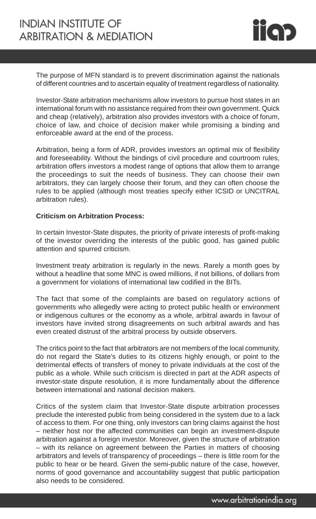

The purpose of MFN standard is to prevent discrimination against the nationals of different countries and to ascertain equality of treatment regardless of nationality.

Investor-State arbitration mechanisms allow investors to pursue host states in an international forum with no assistance required from their own government. Quick and cheap (relatively), arbitration also provides investors with a choice of forum, choice of law, and choice of decision maker while promising a binding and enforceable award at the end of the process.

Arbitration, being a form of ADR, provides investors an optimal mix of flexibility and foreseeability. Without the bindings of civil procedure and courtroom rules, arbitration offers investors a modest range of options that allow them to arrange the proceedings to suit the needs of business. They can choose their own arbitrators, they can largely choose their forum, and they can often choose the rules to be applied (although most treaties specify either ICSID or UNCITRAL arbitration rules).

# **Criticism on Arbitration Process:**

In certain Investor-State disputes, the priority of private interests of profit-making of the investor overriding the interests of the public good, has gained public attention and spurred criticism.

Investment treaty arbitration is regularly in the news. Rarely a month goes by without a headline that some MNC is owed millions, if not billions, of dollars from a government for violations of international law codified in the BITs.

The fact that some of the complaints are based on regulatory actions of governments who allegedly were acting to protect public health or environment or indigenous cultures or the economy as a whole, arbitral awards in favour of investors have invited strong disagreements on such arbitral awards and has even created distrust of the arbitral process by outside observers.

The critics point to the fact that arbitrators are not members of the local community, do not regard the State's duties to its citizens highly enough, or point to the detrimental effects of transfers of money to private individuals at the cost of the public as a whole. While such criticism is directed in part at the ADR aspects of investor-state dispute resolution, it is more fundamentally about the difference between international and national decision makers.

Critics of the system claim that Investor-State dispute arbitration processes preclude the interested public from being considered in the system due to a lack of access to them. For one thing, only investors can bring claims against the host – neither host nor the affected communities can begin an investment-dispute arbitration against a foreign investor. Moreover, given the structure of arbitration – with its reliance on agreement between the Parties in matters of choosing arbitrators and levels of transparency of proceedings – there is little room for the public to hear or be heard. Given the semi-public nature of the case, however, norms of good governance and accountability suggest that public participation also needs to be considered.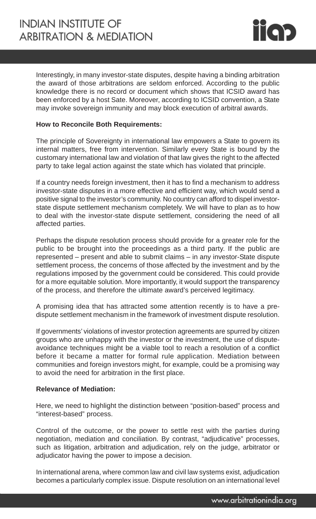

Interestingly, in many investor-state disputes, despite having a binding arbitration the award of those arbitrations are seldom enforced. According to the public knowledge there is no record or document which shows that ICSID award has been enforced by a host Sate. Moreover, according to ICSID convention, a State may invoke sovereign immunity and may block execution of arbitral awards.

## **How to Reconcile Both Requirements:**

The principle of Sovereignty in international law empowers a State to govern its internal matters, free from intervention. Similarly every State is bound by the customary international law and violation of that law gives the right to the affected party to take legal action against the state which has violated that principle.

If a country needs foreign investment, then it has to find a mechanism to address investor-state disputes in a more effective and efficient way, which would send a positive signal to the investor's community. No country can afford to dispel investorstate dispute settlement mechanism completely. We will have to plan as to how to deal with the investor-state dispute settlement, considering the need of all affected parties.

Perhaps the dispute resolution process should provide for a greater role for the public to be brought into the proceedings as a third party. If the public are represented – present and able to submit claims – in any investor-State dispute settlement process, the concerns of those affected by the investment and by the regulations imposed by the government could be considered. This could provide for a more equitable solution. More importantly, it would support the transparency of the process, and therefore the ultimate award's perceived legitimacy.

A promising idea that has attracted some attention recently is to have a predispute settlement mechanism in the framework of investment dispute resolution.

If governments' violations of investor protection agreements are spurred by citizen groups who are unhappy with the investor or the investment, the use of disputeavoidance techniques might be a viable tool to reach a resolution of a conflict before it became a matter for formal rule application. Mediation between communities and foreign investors might, for example, could be a promising way to avoid the need for arbitration in the first place.

# **Relevance of Mediation:**

Here, we need to highlight the distinction between "position-based" process and "interest-based" process.

Control of the outcome, or the power to settle rest with the parties during negotiation, mediation and conciliation. By contrast, "adjudicative" processes, such as litigation, arbitration and adjudication, rely on the judge, arbitrator or adjudicator having the power to impose a decision.

In international arena, where common law and civil law systems exist, adjudication becomes a particularly complex issue. Dispute resolution on an international level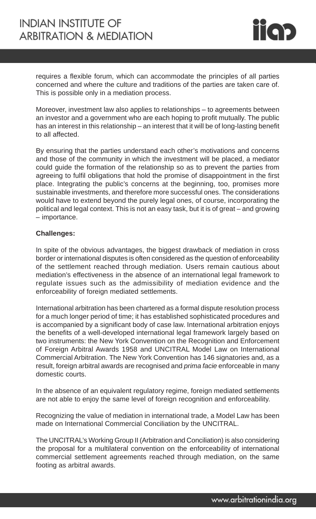

requires a flexible forum, which can accommodate the principles of all parties concerned and where the culture and traditions of the parties are taken care of. This is possible only in a mediation process.

Moreover, investment law also applies to relationships – to agreements between an investor and a government who are each hoping to profit mutually. The public has an interest in this relationship – an interest that it will be of long-lasting benefit to all affected.

By ensuring that the parties understand each other's motivations and concerns and those of the community in which the investment will be placed, a mediator could guide the formation of the relationship so as to prevent the parties from agreeing to fulfil obligations that hold the promise of disappointment in the first place. Integrating the public's concerns at the beginning, too, promises more sustainable investments, and therefore more successful ones. The considerations would have to extend beyond the purely legal ones, of course, incorporating the political and legal context. This is not an easy task, but it is of great – and growing – importance.

#### **Challenges:**

In spite of the obvious advantages, the biggest drawback of mediation in cross border or international disputes is often considered as the question of enforceability of the settlement reached through mediation. Users remain cautious about mediation's effectiveness in the absence of an international legal framework to regulate issues such as the admissibility of mediation evidence and the enforceability of foreign mediated settlements.

International arbitration has been chartered as a formal dispute resolution process for a much longer period of time; it has established sophisticated procedures and is accompanied by a significant body of case law. International arbitration enjoys the benefits of a well-developed international legal framework largely based on two instruments: the New York Convention on the Recognition and Enforcement of Foreign Arbitral Awards 1958 and UNCITRAL Model Law on International Commercial Arbitration. The New York Convention has 146 signatories and, as a result, foreign arbitral awards are recognised and *prima facie* enforceable in many domestic courts.

In the absence of an equivalent regulatory regime, foreign mediated settlements are not able to enjoy the same level of foreign recognition and enforceability.

Recognizing the value of mediation in international trade, a Model Law has been made on International Commercial Conciliation by the UNCITRAL.

The UNCITRAL's Working Group II (Arbitration and Conciliation) is also considering the proposal for a multilateral convention on the enforceability of international commercial settlement agreements reached through mediation, on the same footing as arbitral awards.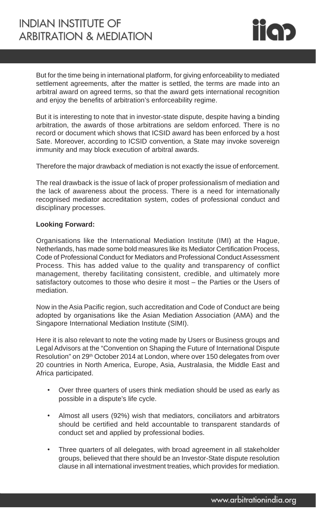

But for the time being in international platform, for giving enforceability to mediated settlement agreements, after the matter is settled, the terms are made into an arbitral award on agreed terms, so that the award gets international recognition and enjoy the benefits of arbitration's enforceability regime.

But it is interesting to note that in investor-state dispute, despite having a binding arbitration, the awards of those arbitrations are seldom enforced. There is no record or document which shows that ICSID award has been enforced by a host Sate. Moreover, according to ICSID convention, a State may invoke sovereign immunity and may block execution of arbitral awards.

Therefore the major drawback of mediation is not exactly the issue of enforcement.

The real drawback is the issue of lack of proper professionalism of mediation and the lack of awareness about the process. There is a need for internationally recognised mediator accreditation system, codes of professional conduct and disciplinary processes.

#### **Looking Forward:**

Organisations like the International Mediation Institute (IMI) at the Hague, Netherlands, has made some bold measures like its Mediator Certification Process, Code of Professional Conduct for Mediators and Professional Conduct Assessment Process. This has added value to the quality and transparency of conflict management, thereby facilitating consistent, credible, and ultimately more satisfactory outcomes to those who desire it most – the Parties or the Users of mediation.

Now in the Asia Pacific region, such accreditation and Code of Conduct are being adopted by organisations like the Asian Mediation Association (AMA) and the Singapore International Mediation Institute (SIMI).

Here it is also relevant to note the voting made by Users or Business groups and Legal Advisors at the "Convention on Shaping the Future of International Dispute Resolution" on 29<sup>th</sup> October 2014 at London, where over 150 delegates from over 20 countries in North America, Europe, Asia, Australasia, the Middle East and Africa participated.

- Over three quarters of users think mediation should be used as early as possible in a dispute's life cycle.
- Almost all users (92%) wish that mediators, conciliators and arbitrators should be certified and held accountable to transparent standards of conduct set and applied by professional bodies.
- Three quarters of all delegates, with broad agreement in all stakeholder groups, believed that there should be an Investor-State dispute resolution clause in all international investment treaties, which provides for mediation.